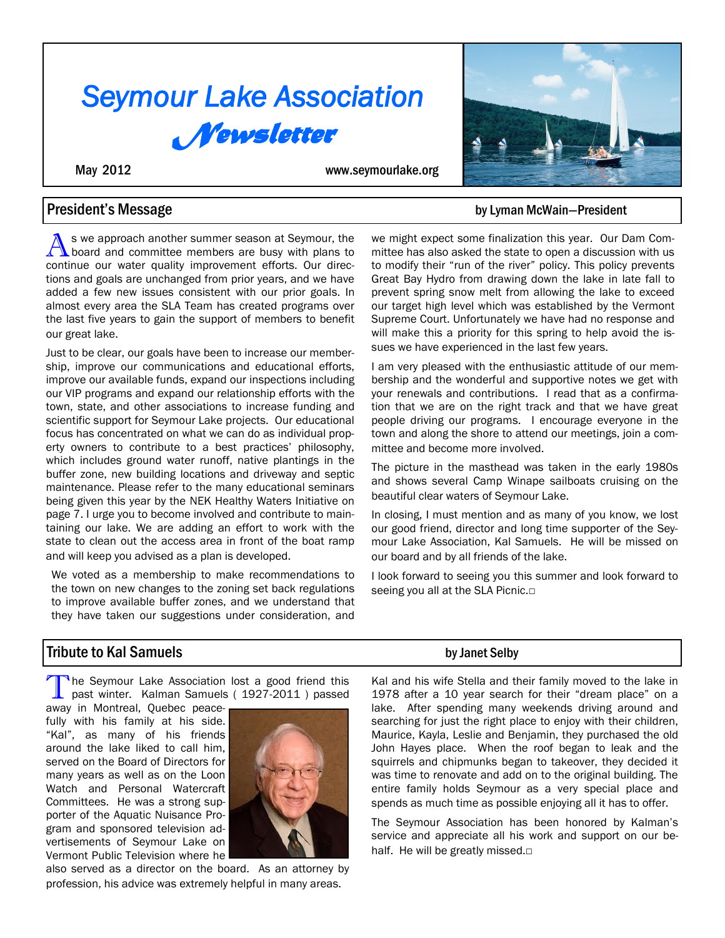# *Seymour Lake Association Newsletter*



www.seymourlake.org



## President's Message by Lyman McWain–President

A s we approach another summer season at Seymour, the board and committee members are busy with plans to s we approach another summer season at Seymour, the continue our water quality improvement efforts. Our directions and goals are unchanged from prior years, and we have added a few new issues consistent with our prior goals. In almost every area the SLA Team has created programs over the last five years to gain the support of members to benefit our great lake.

Just to be clear, our goals have been to increase our membership, improve our communications and educational efforts, improve our available funds, expand our inspections including our VIP programs and expand our relationship efforts with the town, state, and other associations to increase funding and scientific support for Seymour Lake projects. Our educational focus has concentrated on what we can do as individual property owners to contribute to a best practices' philosophy, which includes ground water runoff, native plantings in the buffer zone, new building locations and driveway and septic maintenance. Please refer to the many educational seminars being given this year by the NEK Healthy Waters Initiative on page 7. I urge you to become involved and contribute to maintaining our lake. We are adding an effort to work with the state to clean out the access area in front of the boat ramp and will keep you advised as a plan is developed.

We voted as a membership to make recommendations to the town on new changes to the zoning set back regulations to improve available buffer zones, and we understand that they have taken our suggestions under consideration, and

we might expect some finalization this year. Our Dam Committee has also asked the state to open a discussion with us to modify their "run of the river" policy. This policy prevents Great Bay Hydro from drawing down the lake in late fall to prevent spring snow melt from allowing the lake to exceed our target high level which was established by the Vermont Supreme Court. Unfortunately we have had no response and will make this a priority for this spring to help avoid the issues we have experienced in the last few years.

I am very pleased with the enthusiastic attitude of our membership and the wonderful and supportive notes we get with your renewals and contributions. I read that as a confirmation that we are on the right track and that we have great people driving our programs. I encourage everyone in the town and along the shore to attend our meetings, join a committee and become more involved.

The picture in the masthead was taken in the early 1980s and shows several Camp Winape sailboats cruising on the beautiful clear waters of Seymour Lake.

In closing, I must mention and as many of you know, we lost our good friend, director and long time supporter of the Seymour Lake Association, Kal Samuels. He will be missed on our board and by all friends of the lake.

I look forward to seeing you this summer and look forward to seeing you all at the SLA Picnic.□

## Tribute to Kal Samuels by Janet Selby

The Seymour Lake Association<br>past winter. Kalman Samuels<br>away in Montreal, Quebec peace-The Seymour Lake Association lost a good friend this past winter. Kalman Samuels ( 1927-2011 ) passed

fully with his family at his side. "Kal", as many of his friends around the lake liked to call him, served on the Board of Directors for many years as well as on the Loon Watch and Personal Watercraft Committees. He was a strong supporter of the Aquatic Nuisance Program and sponsored television advertisements of Seymour Lake on Vermont Public Television where he



also served as a director on the board. As an attorney by profession, his advice was extremely helpful in many areas.

Kal and his wife Stella and their family moved to the lake in 1978 after a 10 year search for their "dream place" on a lake. After spending many weekends driving around and searching for just the right place to enjoy with their children, Maurice, Kayla, Leslie and Benjamin, they purchased the old John Hayes place. When the roof began to leak and the squirrels and chipmunks began to takeover, they decided it was time to renovate and add on to the original building. The entire family holds Seymour as a very special place and spends as much time as possible enjoying all it has to offer.

The Seymour Association has been honored by Kalman's service and appreciate all his work and support on our behalf. He will be greatly missed.□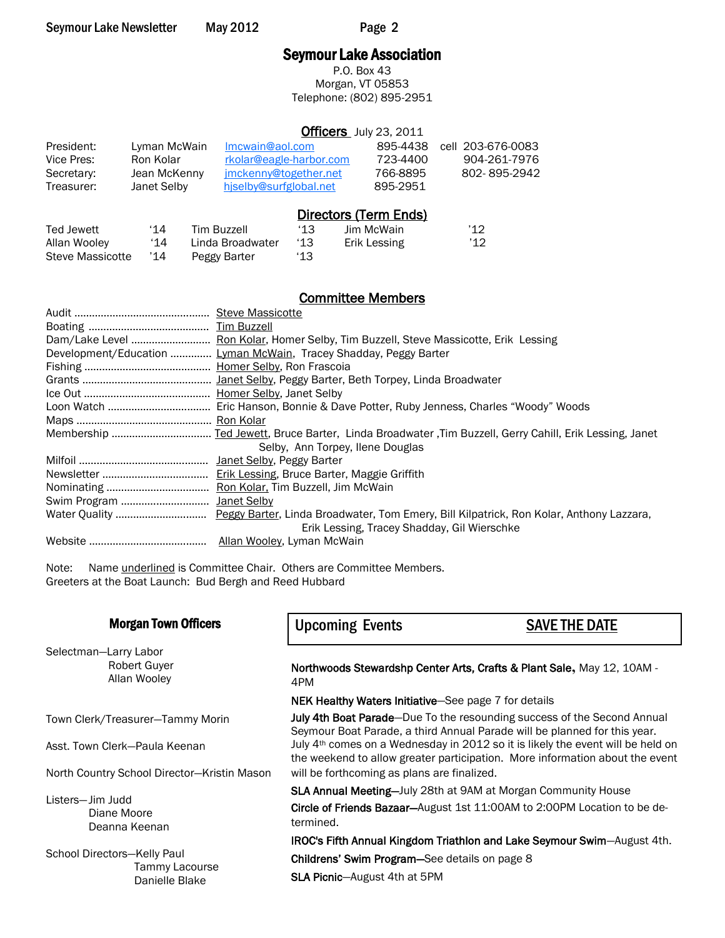## Seymour Lake Association

P.O. Box 43 Morgan, VT 05853 Telephone: (802) 895-2951

### Officers July 23, 2011

| President: | Lyman McWain | Imcwain@aol.com         | 895-4438 | cell 203-676-0083 |
|------------|--------------|-------------------------|----------|-------------------|
| Vice Pres: | Ron Kolar    | rkolar@eagle-harbor.com | 723-4400 | 904-261-7976      |
| Secretary: | Jean McKenny | imckenny@together.net   | 766-8895 | 802-895-2942      |
| Treasurer: | Janet Selby  | hiselby@surfglobal.net  | 895-2951 |                   |

## Directors (Term Ends)

| Ted Jewett       | ʻ14 | Tim Buzzell      | $^{\prime}13$ | Jim McWain   | '12           |
|------------------|-----|------------------|---------------|--------------|---------------|
| Allan Wooley     | '14 | Linda Broadwater | '13           | Erik Lessing | $^{\prime}12$ |
| Steve Massicotte | '14 | Peggy Barter     | '13           |              |               |

## Committee Members

| Development/Education  Lyman McWain, Tracey Shadday, Peggy Barter                                      |
|--------------------------------------------------------------------------------------------------------|
|                                                                                                        |
|                                                                                                        |
|                                                                                                        |
|                                                                                                        |
|                                                                                                        |
|                                                                                                        |
| Selby, Ann Torpey, Ilene Douglas                                                                       |
|                                                                                                        |
|                                                                                                        |
|                                                                                                        |
|                                                                                                        |
| Water Quality  Peggy Barter, Linda Broadwater, Tom Emery, Bill Kilpatrick, Ron Kolar, Anthony Lazzara, |
| Erik Lessing, Tracey Shadday, Gil Wierschke                                                            |
| Allan Wooley, Lyman McWain                                                                             |

Note: Name *underlined* is Committee Chair. Others are Committee Members. Greeters at the Boat Launch: Bud Bergh and Reed Hubbard

|                                                                 | <b>Morgan Town Officers</b>         | <b>Upcoming Events</b>                                                                                                                                                      | <b>SAVE THE DATE</b> |  |  |
|-----------------------------------------------------------------|-------------------------------------|-----------------------------------------------------------------------------------------------------------------------------------------------------------------------------|----------------------|--|--|
|                                                                 | Selectman-Larry Labor               |                                                                                                                                                                             |                      |  |  |
|                                                                 | <b>Robert Guver</b><br>Allan Wooley | Northwoods Stewardshp Center Arts, Crafts & Plant Sale, May 12, 10AM -<br>4PM                                                                                               |                      |  |  |
|                                                                 |                                     | NEK Healthy Waters Initiative–See page 7 for details                                                                                                                        |                      |  |  |
| Town Clerk/Treasurer-Tammy Morin                                |                                     | July 4th Boat Parade-Due To the resounding success of the Second Annual<br>Seymour Boat Parade, a third Annual Parade will be planned for this year.                        |                      |  |  |
| Asst. Town Clerk-Paula Keenan                                   |                                     | July 4 <sup>th</sup> comes on a Wednesday in 2012 so it is likely the event will be held on<br>the weekend to allow greater participation. More information about the event |                      |  |  |
| North Country School Director-Kristin Mason                     |                                     | will be forthcoming as plans are finalized.                                                                                                                                 |                      |  |  |
| Listers-Jim Judd<br>Diane Moore<br>Deanna Keenan                |                                     | <b>SLA Annual Meeting-July 28th at 9AM at Morgan Community House</b><br><b>Circle of Friends Bazaar-August 1st 11:00AM to 2:00PM Location to be de-</b><br>termined.        |                      |  |  |
| School Directors-Kelly Paul<br>Tammy Lacourse<br>Danielle Blake |                                     | IROC's Fifth Annual Kingdom Triathlon and Lake Seymour Swim-August 4th.<br>Childrens' Swim Program-See details on page 8<br><b>SLA Picnic-August 4th at 5PM</b>             |                      |  |  |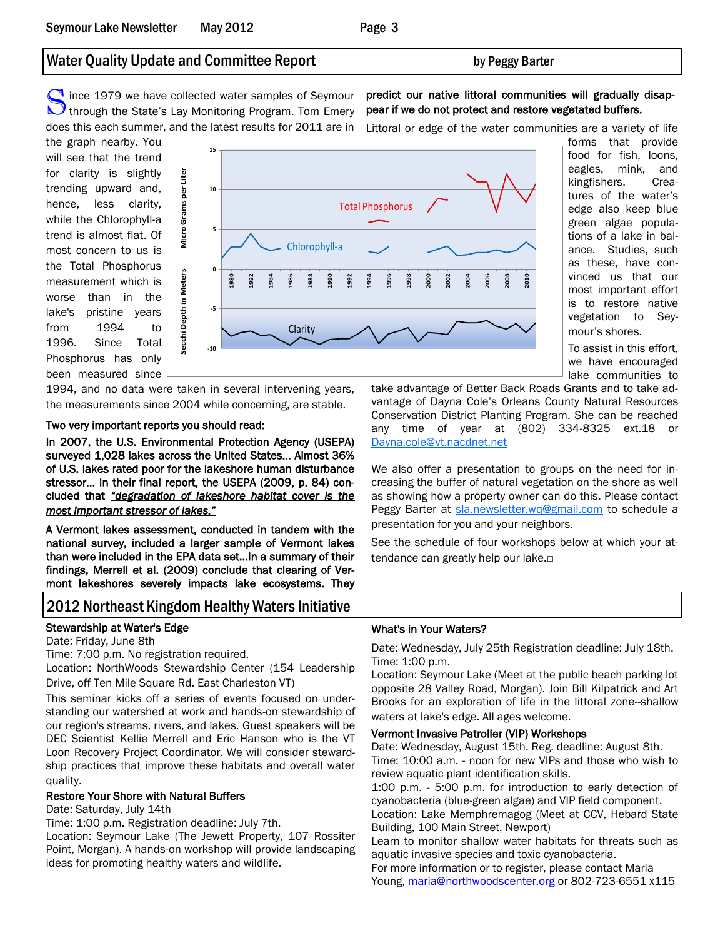## Water Quality Update and Committee Report by Peggy Barter

Since 1979 we have collected water samples of Seymour<br>
through the State's Lay Monitoring Program. Tom Emery through the State's Lay Monitoring Program. Tom Emery does this each summer, and the latest results for 2011 are in

the graph nearby. You will see that the trend for clarity is slightly trending upward and, hence, less clarity, while the Chlorophyll-a trend is almost flat. Of most concern to us is the Total Phosphorus measurement which is worse than in the lake's pristine years from 1994 to 1996. Since Total Phosphorus has only been measured since



1994, and no data were taken in several intervening years, the measurements since 2004 while concerning, are stable.

### Two very important reports you should read:

In 2007, the U.S. Environmental Protection Agency (USEPA) surveyed 1,028 lakes across the United States… Almost 36% of U.S. lakes rated poor for the lakeshore human disturbance stressor… In their final report, the USEPA (2009, p. 84) concluded that *"degradation of lakeshore habitat cover is the most important stressor of lakes."*

A Vermont lakes assessment, conducted in tandem with the national survey, included a larger sample of Vermont lakes than were included in the EPA data set…In a summary of their findings, Merrell et al. (2009) conclude that clearing of Vermont lakeshores severely impacts lake ecosystems. They

### 2012 Northeast Kingdom Healthy Waters Initiative

### Stewardship at Water's Edge

Date: Friday, June 8th

Time: 7:00 p.m. No registration required.

Location: NorthWoods Stewardship Center (154 Leadership Drive, off Ten Mile Square Rd. East Charleston VT)

This seminar kicks off a series of events focused on understanding our watershed at work and hands-on stewardship of our region's streams, rivers, and lakes. Guest speakers will be DEC Scientist Kellie Merrell and Eric Hanson who is the VT Loon Recovery Project Coordinator. We will consider stewardship practices that improve these habitats and overall water quality.

### Restore Your Shore with Natural Buffers

Date: Saturday, July 14th

Time: 1:00 p.m. Registration deadline: July 7th.

Location: Seymour Lake (The Jewett Property, 107 Rossiter Point, Morgan). A hands-on workshop will provide landscaping ideas for promoting healthy waters and wildlife.

### predict our native littoral communities will gradually disappear if we do not protect and restore vegetated buffers.

Littoral or edge of the water communities are a variety of life

forms that provide food for fish, loons, eagles, mink, and kingfishers. Creatures of the water's edge also keep blue green algae populations of a lake in balance. Studies, such as these, have convinced us that our most important effort is to restore native vegetation to Seymour's shores.

To assist in this effort, we have encouraged lake communities to

take advantage of Better Back Roads Grants and to take advantage of Dayna Cole's Orleans County Natural Resources Conservation District Planting Program. She can be reached any time of year at (802) 334-8325 ext.18 or [Dayna.cole@vt.nacdnet.net](mailto:Dayna.cole@vt.nacdnet.net)

We also offer a presentation to groups on the need for increasing the buffer of natural vegetation on the shore as well as showing how a property owner can do this. Please contact Peggy Barter at [sla.newsletter.wq@gmail.com](mailto:sla.newsletter.wq@gmail.com) to schedule a presentation for you and your neighbors.

See the schedule of four workshops below at which your attendance can greatly help our lake.□

### What's in Your Waters?

Date: Wednesday, July 25th Registration deadline: July 18th. Time: 1:00 p.m.

Location: Seymour Lake (Meet at the public beach parking lot opposite 28 Valley Road, Morgan). Join Bill Kilpatrick and Art Brooks for an exploration of life in the littoral zone--shallow waters at lake's edge. All ages welcome.

### Vermont Invasive Patroller (VIP) Workshops

Date: Wednesday, August 15th. Reg. deadline: August 8th. Time: 10:00 a.m. - noon for new VIPs and those who wish to review aquatic plant identification skills.

1:00 p.m. - 5:00 p.m. for introduction to early detection of cyanobacteria (blue-green algae) and VIP field component. Location: Lake Memphremagog (Meet at CCV, Hebard State

Building, 100 Main Street, Newport)

Learn to monitor shallow water habitats for threats such as aquatic invasive species and toxic cyanobacteria.

For more information or to register, please contact Maria Young, maria@northwoodscenter.org or 802-723-6551 x115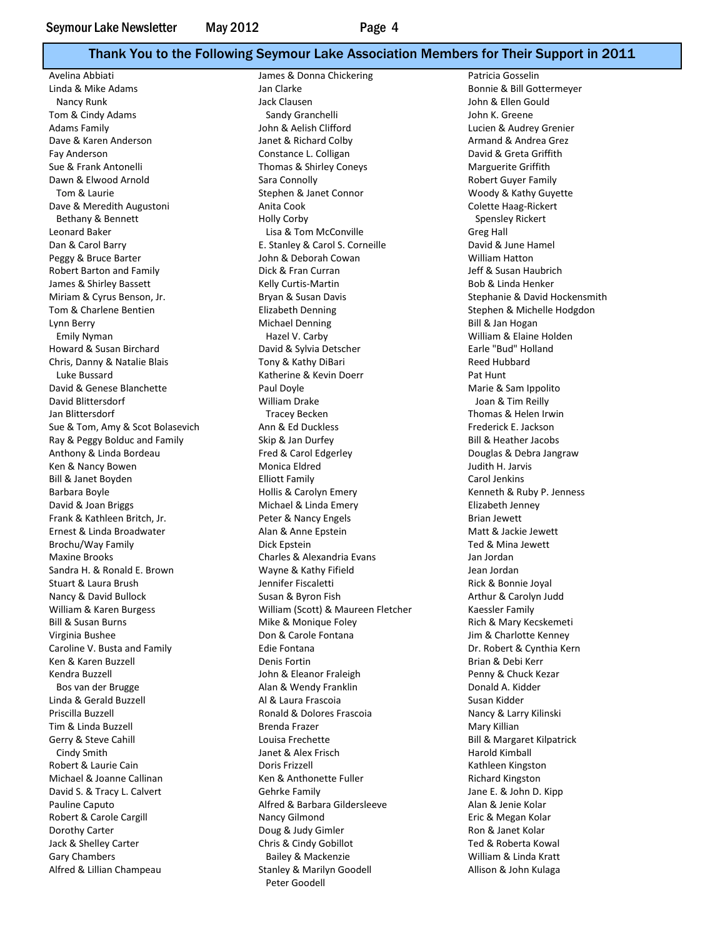### Thank You to the Following Seymour Lake Association Members for Their Support in 2011

Avelina Abbiati James & Donna Chickering Patricia Gosselin Dan & Carol Barry **E. Stanley & Carol S. Corneille** Tim & Linda Buzzell Brenda Frazer

Linda & Mike Adams **Jan Clarke Bonnie & Bill Gottermeyer** Jan Clarke **Bonnie & Bill Gottermeyer**  Nancy Runk Jack Clausen John & Ellen Gould Tom & Cindy Adams Tom Books and Sandy Granchelli Sandy Granchelli John K. Greene Adams Family **Audrey Grenier** John & Aelish Clifford **Lucien & Audrey Grenier Lucien & Audrey Grenier** Dave & Karen Anderson The State of Languard Banet & Richard Colby Armand & Andrea Grez Fay Anderson **Constance L. Colligan** Constance L. Colligan **David & Greta Griffith** Sue & Frank Antonelli **Shirley Conetical Coneys** Thomas & Shirley Coneys **Marguerite Griffith** Dawn & Elwood Arnold **Sara Connolly** Sara Connolly **Sara Connolly** Robert Guyer Family Tom & Laurie **Stephen & Janet Connor** Stephen Woody & Kathy Guyette Dave & Meredith Augustoni **Anita Cook** Colette Haag-Rickert Bethany & Bennett **Spensiel Community Corporation** Holly Corby Spensiely Rickert Spensiely Rickert Leonard Baker Loopen and Lisa & Tom McConville Convertion Convertional Convertion Convertion Convertion Conver<br>
Let Carola Barry Convertion Convertion Convertion Convertion Convertion Convertion Convertion Convertion Conv<br> Peggy & Bruce Barter **Mathem 2008** John & Deborah Cowan **Mathem William Hatton** Robert Barton and Family **Dick & Fran Curran** Jeff & Susan Haubrich James & Shirley Bassett **Kelly Curtis-Martin** American Bob & Linda Henker Miriam & Cyrus Benson, Jr. Bryan & Susan Davis Stephanie & David Hockensmith Tom & Charlene Bentien **Elizabeth Denning** Stephen & Michelle Hodgdon **Stephen & Michelle Hodgdon** Lynn Berry **Michael Denning** Bill & Jan Hogan Bill & Jan Hogan Emily Nyman Hazel V. Carby William & Elaine Holden Howard & Susan Birchard David & Sylvia Detscher Earle "Bud" Holland Chris, Danny & Natalie Blais Tony & Kathy DiBari Reed Hubbard Luke Bussard Katherine & Kevin Doerr Pat Hunt David & Genese Blanchette **Paul Doyle Community** Paul Doyle **Paul Doyle Marie & Sam Ippolito** Marie & Sam Ippolito David Blittersdorf William Drake Joan & Tim Reilly Jan Blittersdorf **Tracey Becken** Tracey Becken Thomas & Helen Irwin Sue & Tom, Amy & Scot Bolasevich Ann & Ed Duckless Frederick E. Jackson Ray & Peggy Bolduc and Family Skip & Jan Durfey Bill & Heather Jacobs Anthony & Linda Bordeau **Fred & Carol Edgerley** Fred & Carol Edgerley **Fred & Carol Edgerley Douglas & Debra Jangraw** Ken & Nancy Bowen The Communication of Monica Eldred The Communication of the Judith H. Jarvis Bill & Janet Boyden Elliott Family Carol Jenkins Barbara Boyle **Hollis & Carolyn Emery Kenneth & Ruby P. Jenness Hollis & Carolyn Emery Kenneth & Ruby P. Jenness** David & Joan Briggs **Michael & Linda Emery** Elizabeth Jenney Elizabeth Jenney Frank & Kathleen Britch, Jr. The State Britch Peter & Nancy Engels Brian Jewett Ernest & Linda Broadwater **Alan & Anne Epstein** Matt & Jackie Jewett Brochu/Way Family **Brochu/Way Family Dick Epstein** Dick Epstein Ted & Mina Jewett Maxine Brooks Charles & Alexandria Evans Jan Jordan Sandra H. & Ronald E. Brown **Wayne & Kathy Fifield** Jean Jordan Jean Jordan Stuart & Laura Brush Jennifer Fiscaletti and the Rick & Bonnie Joyal Rick & Bonnie Joyal Nancy & David Bullock **Susan & Byron Fish Arthur & Carolyn Judd** Burnock Busan & Byron Fish Arthur & Carolyn Judd William & Karen Burgess The Milliam (Scott) & Maureen Fletcher Kaessler Family Bill & Susan Burns **Mike & Monique Foley** Rich & Mary Kecskemeti Bill & Susan Burns and Rich & Mary Kecskemeti Virginia Bushee Don & Carole Fontana Jim & Charlotte Kenney Caroline V. Busta and Family **Edie Fontana** Edie Fontana Dr. Robert & Cynthia Kern Ken & Karen Buzzell **Example 20 Example 20 Example 20 Example 20 Example 20 Example 20 Example 20 Example 20 Example 20 Example 20 Example 20 Example 20 Example 20 Example 20 Example 20 Example 20 Example 20 Example 20 Exa** Kendra Buzzell **Markov Eleanor Fraleigh Penny & Chuck Kezar** John & Eleanor Fraleigh **Penny & Chuck Kezar** Bos van der Brugge and Alan & Wendy Franklin and Donald A. Kidder Linda & Gerald Buzzell Al & Laura Frascoia Susan Kidder Priscilla Buzzell Ronald & Dolores Frascoia Nancy & Larry Kilinski Gerry & Steve Cahill **Communist Communist Communist Communist Communist Communist Communist Communist Communist Communist Communist Communist Communist Communist Communist Communist Communist Communist Communist Communist**  Cindy Smith Janet & Alex Frisch Harold Kimball Robert & Laurie Cain **Network** Coris Frizzell **Care Corine Corine Corine Corine Corine Corine Corine Corine Corine Corine Corine Corine Corine Corine Corine Corine Corine Corine Corine Corine Corine Corine Corine Corine Co** Michael & Joanne Callinan Theory Care Ken & Anthonette Fuller Theory Richard Kingston David S. & Tracy L. Calvert **Gehrke Family** Gehrke Family Gehrke Family Jane E. & John D. Kipp Pauline Caputo **Alfred & Barbara Gildersleeve** Alan & Jenie Kolar Robert & Carole Cargill **Nancy Gilmond Example 2** Eric & Megan Kolar Dorothy Carter **Doug & Judy Gimler** Ron & Janet Kolar Jack & Shelley Carter **Chris & Cindy Gobillot** Ted & Roberta Kowal Gary Chambers **Bailey & Mackenzie** William & Linda Kratt Alfred & Lillian Champeau Stanley & Marilyn Goodell Allison & John Kulaga Peter Goodell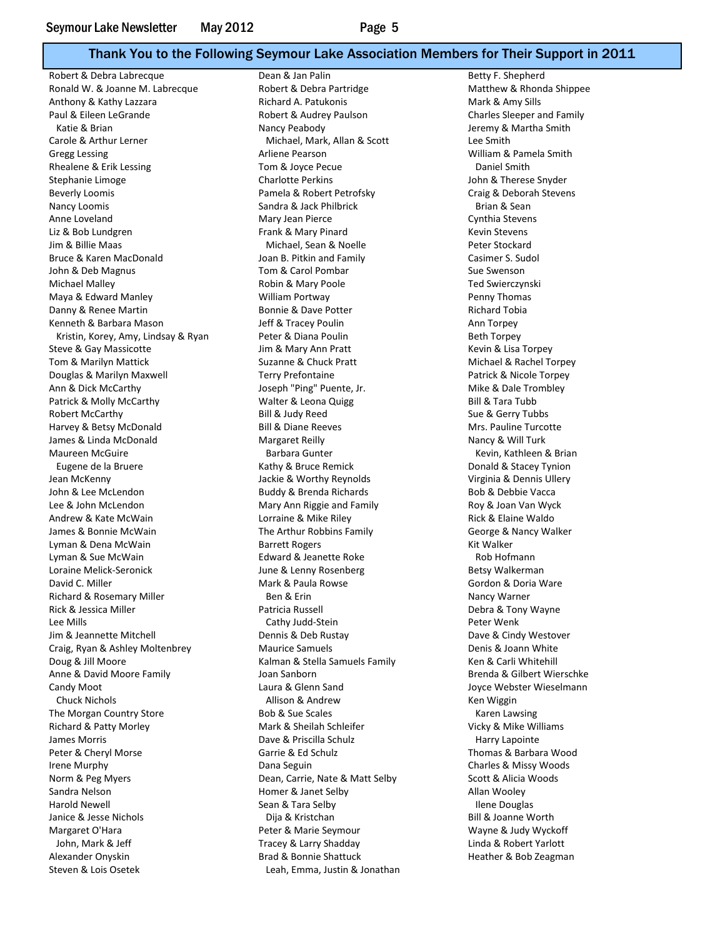### Thank You to the Following Seymour Lake Association Members for Their Support in 2011

Robert & Debra Labrecque The Cornel of Dean & Jan Palin Betty F. Shepherd Betty F. Shepherd Ronald W. & Joanne M. Labrecque **Robert & Debra Partridge Matthew & Rhonda** Shippee Anthony & Kathy Lazzara **Richard A. Patukonis** Mark & Amy Sills Amy Sills Paul & Eileen LeGrande Robert & Audrey Paulson Charles Sleeper and Family Katie & Brian Nancy Peabody **Nancy Peabody** All the Series of Martha Smith Carole & Arthur Lerner The Michael, Mark, Allan & Scott The Lee Smith Gregg Lessing The Communication of the Arliene Pearson Communication of the William & Pamela Smith Rhealene & Erik Lessing Tom & Joyce Pecue Tom & Joyce Pecue Daniel Smith Stephanie Limoge The Charlotte Perkins Charlotte Perkins John & Therese Snyder Beverly Loomis **Pamela & Robert Petrofsky** Craig & Deborah Stevens Nancy Loomis **Sandra & Jack Philbrick** Brian & Sean Brian & Sean Brian & Sean Brian & Sean Anne Loveland **Mary Jean Pierce** Cynthia Stevens Liz & Bob Lundgren The Communication of Frank & Mary Pinard The Communication Cevens Jim & Billie Maas **Michael, Sean & Noelle** Peter Stockard Bruce & Karen MacDonald **State Hotel State Constructs** Joan B. Pitkin and Family Casimer S. Sudol John & Deb Magnus Tom & Carol Pombar Sue Swenson Sue Swenson Michael Malley Robin & Mary Poole Ted Swierczynski Maya & Edward Manley **National Community Community** William Portway **Penny Thomas** Penny Thomas Danny & Renee Martin **Bonnie & Dave Potter Bonnie & Dave Potter** Richard Tobia Kenneth & Barbara Mason **Massets Ann Torpey** Jeff & Tracey Poulin Ann Torpey Ann Torpey Kristin, Korey, Amy, Lindsay & Ryan Peter & Diana Poulin Peter South Porpey Steve & Gay Massicotte The Steve & Gay Massicotte Jim & Mary Ann Pratt The Mary Ann Action Action & Lisa Torpey Tom & Marilyn Mattick **Suzanne & Chuck Pratt** Michael & Rachel Torpey Michael & Rachel Torpey Douglas & Marilyn Maxwell **Terry Prefontaine Patrick & Nicole Torpey** Patrick & Nicole Torpey Ann & Dick McCarthy **State And Accord Accord Michael Ann & Dick McCarthy** Joseph "Ping" Puente, Jr. Mike & Dale Trombley Patrick & Molly McCarthy **National Accord Walter & Leona Quigg** Bill & Tara Tubb Robert McCarthy **Bill & Judy Reed** Sue & Gerry Tubbs Sue & Gerry Tubbs Harvey & Betsy McDonald **Bill & Diane Reeves** Mrs. Pauline Turcotte James & Linda McDonald **Margaret Reilly** Nancy & Will Turk Nancy & Will Turk Maureen McGuire **Barbara Gunter** Barbara Gunter **Maureen McGuire** & Brian Eugene de la Bruere Tynion Chathy & Bruce Remick Chathy Bruce Remick Donald & Stacey Tynion Jean McKenny Jackie & Worthy Reynolds Virginia & Dennis Ullery John & Lee McLendon **Buddy & Brenda Richards** Bob & Debbie Vacca Lee & John McLendon **Mary Ann Riggie and Family** Roy & Joan Van Wyck Andrew & Kate McWain **Lorraine & Mike Riley Communist Communist** Rick & Elaine Waldo James & Bonnie McWain **The Arthur Robbins Family** George & Nancy Walker Lyman & Dena McWain **Barrett Rogers** Chartes And McWalker Lyman & Sue McWain **Example 20** Edward & Jeanette Roke **Rob Hofmann** Loraine Melick-Seronick and Summan June & Lenny Rosenberg and Betsy Walkerman David C. Miller **Mark & Paula Rowse** Mark & Paula Rowse **Gordon & Doria Ware** Richard & Rosemary Miller National Ben & Erin Nancy Warner Nancy Warner Rick & Jessica Miller **Natural Accord Contract Contract Patricia** Russell **Rick & Debra & Tony Wayne** Lee Mills **Cathy Judd-Stein Peter Wenk** Peter Wenk Jim & Jeannette Mitchell **Dennis & Deb Rustay** Dave & Cindy Westover Craig, Ryan & Ashley Moltenbrey **Maurice Samuels** Denis & Joann White Doug & Jill Moore **Kalman & Stella Samuels Family** Ken & Carli Whitehill Coug & Stella Samuels Family Anne & David Moore Family **Moore Family** Joan Sanborn **Brenda & Gilbert Wierschke** Candy Moot **Candy Moot** Candy Moot Candy Moot Candy Moot Candy Moot Candy Moot Candy Moot Candy Moot Candy Moot Chuck Nichols **Allison & Andrew Chuck Nichols** Ken Wiggin The Morgan Country Store The Bob & Sue Scales Karen Lawsing Karen Lawsing Richard & Patty Morley **Mark & Sheilah Schleifer** Mark & Sheilah Schleifer Vicky & Mike Williams James Morris **Charlotte Communist Carea** Dave & Priscilla Schulz **Harry Lapointe** Harry Lapointe Peter & Cheryl Morse **Garrie & Ed Schulz** Garrie & Ed Schulz **Thomas & Barbara Wood** Irene Murphy **Dana Seguin** Dana Seguin Charles & Missy Woods Norm & Peg Myers The Scott & Alicia Woods Carrie, Nate & Matt Selby Scott & Alicia Woods Sandra Nelson **Markov Homer & Janet Selby Allan Wooley** Allan Wooley Harold Newell **Sean & Tara Selby Sean & Tara Selby Ilene Douglas** Janice & Jesse Nichols **Dija & Kristchan** Bill & Joanne Worth Bill & Joanne Worth Margaret O'Hara **Peter & Marie Seymour** Peter & Marie Seymour Wayne & Judy Wyckoff John, Mark & Jeff Tracey & Larry Shadday Tracey & Larry Shadday Linda & Robert Yarlott Alexander Onyskin **Brad & Bonnie Shattuck** Heather & Bob Zeagman

Steven & Lois Osetek **Leah, Emma, Justin & Jonathan**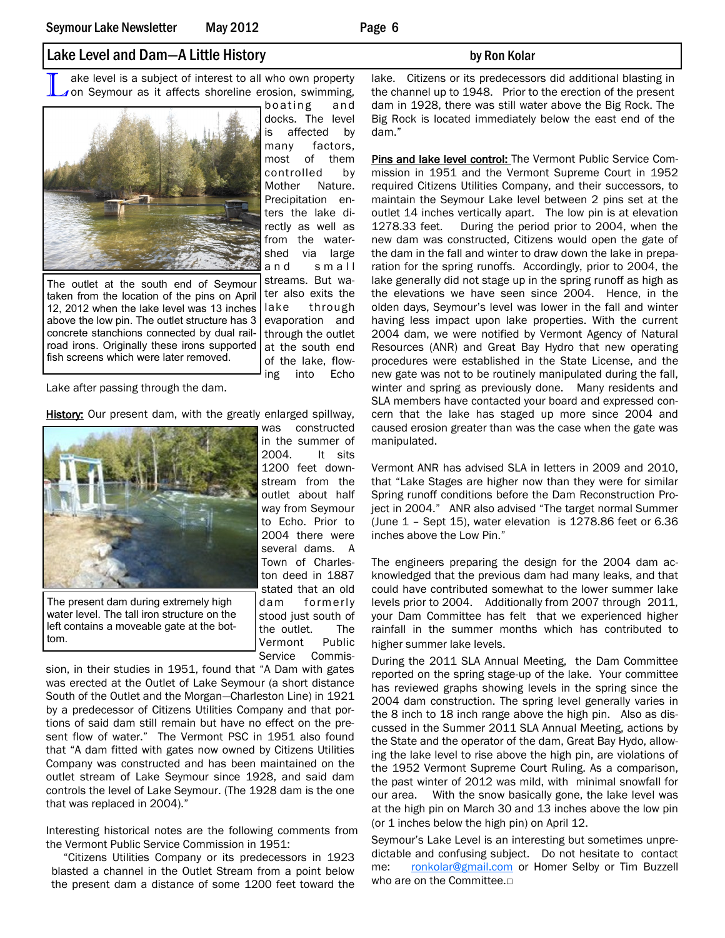## Lake Level and Dam—A Little History by Ron Kolar

 $\mathbf L$ ake level is a subject of interest to all who own property on Seymour as it affects shoreline erosion, swimming,



The outlet at the south end of Seymour taken from the location of the pins on April 12, 2012 when the lake level was 13 inches above the low pin. The outlet structure has 3 concrete stanchions connected by dual railroad irons. Originally these irons supported fish screens which were later removed.

boating and docks. The level is affected by many factors, most of them controlled by Mother Nature. Precipitation enters the lake directly as well as from the watershed via large and small streams. But water also exits the lake through evaporation and through the outlet at the south end of the lake, flowing into Echo

Lake after passing through the dam.

History: Our present dam, with the greatly enlarged spillway,



The present dam during extremely high water level. The tall iron structure on the left contains a moveable gate at the bottom.

was constructed in the summer of 2004. It sits 1200 feet downstream from the outlet about half way from Seymour to Echo. Prior to 2004 there were several dams. A Town of Charleston deed in 1887 stated that an old dam formerly stood just south of the outlet. The Vermont Public Service Commis-

sion, in their studies in 1951, found that "A Dam with gates was erected at the Outlet of Lake Seymour (a short distance South of the Outlet and the Morgan—Charleston Line) in 1921 by a predecessor of Citizens Utilities Company and that portions of said dam still remain but have no effect on the present flow of water." The Vermont PSC in 1951 also found that "A dam fitted with gates now owned by Citizens Utilities Company was constructed and has been maintained on the outlet stream of Lake Seymour since 1928, and said dam controls the level of Lake Seymour. (The 1928 dam is the one that was replaced in 2004)."

Interesting historical notes are the following comments from the Vermont Public Service Commission in 1951:

 "Citizens Utilities Company or its predecessors in 1923 blasted a channel in the Outlet Stream from a point below the present dam a distance of some 1200 feet toward the

lake. Citizens or its predecessors did additional blasting in the channel up to 1948. Prior to the erection of the present dam in 1928, there was still water above the Big Rock. The Big Rock is located immediately below the east end of the dam."

Pins and lake level control: The Vermont Public Service Commission in 1951 and the Vermont Supreme Court in 1952 required Citizens Utilities Company, and their successors, to maintain the Seymour Lake level between 2 pins set at the outlet 14 inches vertically apart. The low pin is at elevation 1278.33 feet. During the period prior to 2004, when the new dam was constructed, Citizens would open the gate of the dam in the fall and winter to draw down the lake in preparation for the spring runoffs. Accordingly, prior to 2004, the lake generally did not stage up in the spring runoff as high as the elevations we have seen since 2004. Hence, in the olden days, Seymour's level was lower in the fall and winter having less impact upon lake properties. With the current 2004 dam, we were notified by Vermont Agency of Natural Resources (ANR) and Great Bay Hydro that new operating procedures were established in the State License, and the new gate was not to be routinely manipulated during the fall, winter and spring as previously done. Many residents and SLA members have contacted your board and expressed concern that the lake has staged up more since 2004 and caused erosion greater than was the case when the gate was manipulated.

Vermont ANR has advised SLA in letters in 2009 and 2010, that "Lake Stages are higher now than they were for similar Spring runoff conditions before the Dam Reconstruction Project in 2004." ANR also advised "The target normal Summer (June 1 – Sept 15), water elevation is 1278.86 feet or 6.36 inches above the Low Pin."

The engineers preparing the design for the 2004 dam acknowledged that the previous dam had many leaks, and that could have contributed somewhat to the lower summer lake levels prior to 2004. Additionally from 2007 through 2011, your Dam Committee has felt that we experienced higher rainfall in the summer months which has contributed to higher summer lake levels.

During the 2011 SLA Annual Meeting, the Dam Committee reported on the spring stage-up of the lake. Your committee has reviewed graphs showing levels in the spring since the 2004 dam construction. The spring level generally varies in the 8 inch to 18 inch range above the high pin. Also as discussed in the Summer 2011 SLA Annual Meeting, actions by the State and the operator of the dam, Great Bay Hydo, allowing the lake level to rise above the high pin, are violations of the 1952 Vermont Supreme Court Ruling. As a comparison, the past winter of 2012 was mild, with minimal snowfall for our area. With the snow basically gone, the lake level was at the high pin on March 30 and 13 inches above the low pin (or 1 inches below the high pin) on April 12.

Seymour's Lake Level is an interesting but sometimes unpredictable and confusing subject. Do not hesitate to contact me: [ronkolar@gmail.com](mailto:ronkolar@gmail.com) or Homer Selby or Tim Buzzell who are on the Committee.□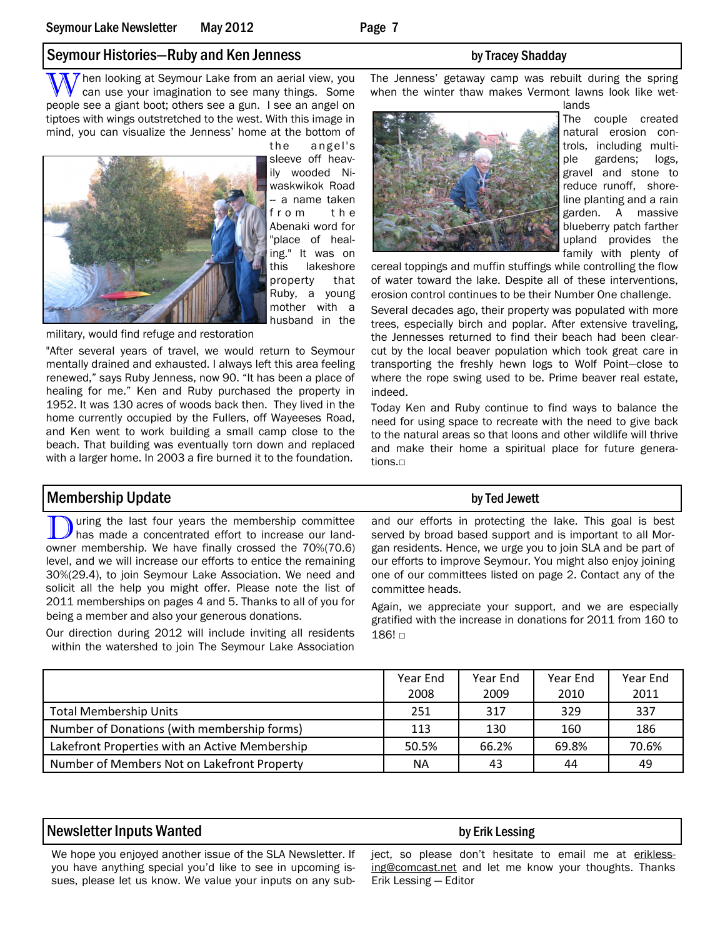## Seymour Histories—Ruby and Ken Jenness by Tracey Shadday

 $\gamma$  hen looking at Seymour Lake from an aerial view, you can use your imagination to see many things. Some people see a giant boot; others see a gun. I see an angel on tiptoes with wings outstretched to the west. With this image in mind, you can visualize the Jenness' home at the bottom of



the angel's sleeve off heavily wooded Niwaskwikok Road -- a name taken from the Abenaki word for "place of healing." It was on this lakeshore property that Ruby, a young mother with a husband in the

military, would find refuge and restoration

"After several years of travel, we would return to Seymour mentally drained and exhausted. I always left this area feeling renewed," says Ruby Jenness, now 90. "It has been a place of healing for me." Ken and Ruby purchased the property in 1952. It was 130 acres of woods back then. They lived in the home currently occupied by the Fullers, off Wayeeses Road, and Ken went to work building a small camp close to the beach. That building was eventually torn down and replaced with a larger home. In 2003 a fire burned it to the foundation.

The Jenness' getaway camp was rebuilt during the spring when the winter thaw makes Vermont lawns look like wetlands



The couple created natural erosion controls, including multiple gardens; logs, gravel and stone to reduce runoff, shoreline planting and a rain garden. A massive blueberry patch farther upland provides the family with plenty of

cereal toppings and muffin stuffings while controlling the flow of water toward the lake. Despite all of these interventions, erosion control continues to be their Number One challenge.

Several decades ago, their property was populated with more trees, especially birch and poplar. After extensive traveling, the Jennesses returned to find their beach had been clearcut by the local beaver population which took great care in transporting the freshly hewn logs to Wolf Point—close to where the rope swing used to be. Prime beaver real estate, indeed.

Today Ken and Ruby continue to find ways to balance the need for using space to recreate with the need to give back to the natural areas so that loons and other wildlife will thrive and make their home a spiritual place for future generations.□

## Membership Update by Ted Jewett

**D**uring the last four years the membership committee has made a concentrated effort to increase our landowner membership. We have finally crossed the 70%(70.6) level, and we will increase our efforts to entice the remaining 30%(29.4), to join Seymour Lake Association. We need and solicit all the help you might offer. Please note the list of 2011 memberships on pages 4 and 5. Thanks to all of you for being a member and also your generous donations.

Our direction during 2012 will include inviting all residents within the watershed to join The Seymour Lake Association

and our efforts in protecting the lake. This goal is best served by broad based support and is important to all Morgan residents. Hence, we urge you to join SLA and be part of our efforts to improve Seymour. You might also enjoy joining one of our committees listed on page 2. Contact any of the committee heads.

Again, we appreciate your support, and we are especially gratified with the increase in donations for 2011 from 160 to 186! □

|                                                | Year End  | Year End | Year End | Year End |
|------------------------------------------------|-----------|----------|----------|----------|
|                                                | 2008      | 2009     | 2010     | 2011     |
| <b>Total Membership Units</b>                  | 251       | 317      | 329      | 337      |
| Number of Donations (with membership forms)    | 113       | 130      | 160      | 186      |
| Lakefront Properties with an Active Membership | 50.5%     | 66.2%    | 69.8%    | 70.6%    |
| Number of Members Not on Lakefront Property    | <b>NA</b> | 43       | 44       | 49       |

### Newsletter Inputs Wanted by Erik Lessing

We hope you enjoyed another issue of the SLA Newsletter. If you have anything special you'd like to see in upcoming issues, please let us know. We value your inputs on any sub-

ject, so please don't hesitate to email me at eriklessing@comcast.net and let me know your thoughts. Thanks Erik Lessing — Editor